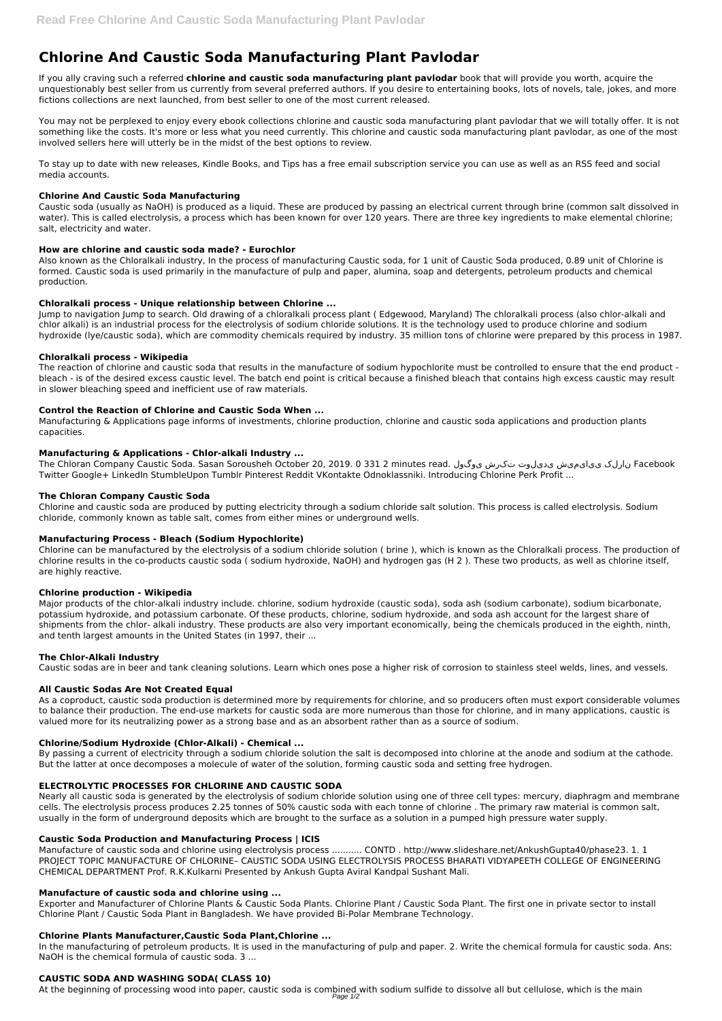# **Chlorine And Caustic Soda Manufacturing Plant Pavlodar**

If you ally craving such a referred **chlorine and caustic soda manufacturing plant pavlodar** book that will provide you worth, acquire the unquestionably best seller from us currently from several preferred authors. If you desire to entertaining books, lots of novels, tale, jokes, and more fictions collections are next launched, from best seller to one of the most current released.

You may not be perplexed to enjoy every ebook collections chlorine and caustic soda manufacturing plant pavlodar that we will totally offer. It is not something like the costs. It's more or less what you need currently. This chlorine and caustic soda manufacturing plant pavlodar, as one of the most involved sellers here will utterly be in the midst of the best options to review.

To stay up to date with new releases, Kindle Books, and Tips has a free email subscription service you can use as well as an RSS feed and social media accounts.

## **Chlorine And Caustic Soda Manufacturing**

Caustic soda (usually as NaOH) is produced as a liquid. These are produced by passing an electrical current through brine (common salt dissolved in water). This is called electrolysis, a process which has been known for over 120 years. There are three key ingredients to make elemental chlorine; salt, electricity and water.

## **How are chlorine and caustic soda made? - Eurochlor**

The Chloran Company Caustic Soda. Sasan Sorousheh October 20, 2019. 0 331 2 minutes read. نارلک ییایمیش یدیلوت تکرش ییوگول The Chloran Company Caustic Soda. Sasan Sorousheh October 20, 2019. 0 331 2 minutes read. Twitter Google+ LinkedIn StumbleUpon Tumblr Pinterest Reddit VKontakte Odnoklassniki. Introducing Chlorine Perk Profit ...

Also known as the Chloralkali industry, In the process of manufacturing Caustic soda, for 1 unit of Caustic Soda produced, 0.89 unit of Chlorine is formed. Caustic soda is used primarily in the manufacture of pulp and paper, alumina, soap and detergents, petroleum products and chemical production.

## **Chloralkali process - Unique relationship between Chlorine ...**

Jump to navigation Jump to search. Old drawing of a chloralkali process plant ( Edgewood, Maryland) The chloralkali process (also chlor-alkali and chlor alkali) is an industrial process for the electrolysis of sodium chloride solutions. It is the technology used to produce chlorine and sodium hydroxide (lye/caustic soda), which are commodity chemicals required by industry. 35 million tons of chlorine were prepared by this process in 1987.

#### **Chloralkali process - Wikipedia**

The reaction of chlorine and caustic soda that results in the manufacture of sodium hypochlorite must be controlled to ensure that the end product bleach - is of the desired excess caustic level. The batch end point is critical because a finished bleach that contains high excess caustic may result in slower bleaching speed and inefficient use of raw materials.

#### **Control the Reaction of Chlorine and Caustic Soda When ...**

Manufacturing & Applications page informs of investments, chlorine production, chlorine and caustic soda applications and production plants capacities.

#### **Manufacturing & Applications - Chlor-alkali Industry ...**

# **The Chloran Company Caustic Soda**

Exporter and Manufacturer of Chlorine Plants & Caustic Soda Plants. Chlorine Plant / Caustic Soda Plant. The first one in private sector to install Chlorine Plant / Caustic Soda Plant in Bangladesh. We have provided Bi-Polar Membrane Technology.

Chlorine and caustic soda are produced by putting electricity through a sodium chloride salt solution. This process is called electrolysis. Sodium chloride, commonly known as table salt, comes from either mines or underground wells.

#### **Manufacturing Process - Bleach (Sodium Hypochlorite)**

Chlorine can be manufactured by the electrolysis of a sodium chloride solution ( brine ), which is known as the Chloralkali process. The production of chlorine results in the co-products caustic soda ( sodium hydroxide, NaOH) and hydrogen gas (H 2 ). These two products, as well as chlorine itself, are highly reactive.

#### **Chlorine production - Wikipedia**

Major products of the chlor-alkali industry include. chlorine, sodium hydroxide (caustic soda), soda ash (sodium carbonate), sodium bicarbonate, potassium hydroxide, and potassium carbonate. Of these products, chlorine, sodium hydroxide, and soda ash account for the largest share of shipments from the chlor- alkali industry. These products are also very important economically, being the chemicals produced in the eighth, ninth, and tenth largest amounts in the United States (in 1997, their ...

#### **The Chlor-Alkali Industry**

Caustic sodas are in beer and tank cleaning solutions. Learn which ones pose a higher risk of corrosion to stainless steel welds, lines, and vessels.

#### **All Caustic Sodas Are Not Created Equal**

As a coproduct, caustic soda production is determined more by requirements for chlorine, and so producers often must export considerable volumes to balance their production. The end-use markets for caustic soda are more numerous than those for chlorine, and in many applications, caustic is valued more for its neutralizing power as a strong base and as an absorbent rather than as a source of sodium.

# **Chlorine/Sodium Hydroxide (Chlor-Alkali) - Chemical ...**

By passing a current of electricity through a sodium chloride solution the salt is decomposed into chlorine at the anode and sodium at the cathode. But the latter at once decomposes a molecule of water of the solution, forming caustic soda and setting free hydrogen.

#### **ELECTROLYTIC PROCESSES FOR CHLORINE AND CAUSTIC SODA**

Nearly all caustic soda is generated by the electrolysis of sodium chloride solution using one of three cell types: mercury, diaphragm and membrane cells. The electrolysis process produces 2.25 tonnes of 50% caustic soda with each tonne of chlorine . The primary raw material is common salt, usually in the form of underground deposits which are brought to the surface as a solution in a pumped high pressure water supply.

#### **Caustic Soda Production and Manufacturing Process | ICIS**

Manufacture of caustic soda and chlorine using electrolysis process ........... CONTD . http://www.slideshare.net/AnkushGupta40/phase23. 1. 1 PROJECT TOPIC MANUFACTURE OF CHLORINE– CAUSTIC SODA USING ELECTROLYSIS PROCESS BHARATI VIDYAPEETH COLLEGE OF ENGINEERING CHEMICAL DEPARTMENT Prof. R.K.Kulkarni Presented by Ankush Gupta Aviral Kandpal Sushant Mali.

#### **Manufacture of caustic soda and chlorine using ...**

#### **Chlorine Plants Manufacturer,Caustic Soda Plant,Chlorine ...**

In the manufacturing of petroleum products. It is used in the manufacturing of pulp and paper. 2. Write the chemical formula for caustic soda. Ans: NaOH is the chemical formula of caustic soda. 3 ...

#### **CAUSTIC SODA AND WASHING SODA( CLASS 10)**

At the beginning of processing wood into paper, caustic soda is combined with sodium sulfide to dissolve all but cellulose, which is the main Page 1/2